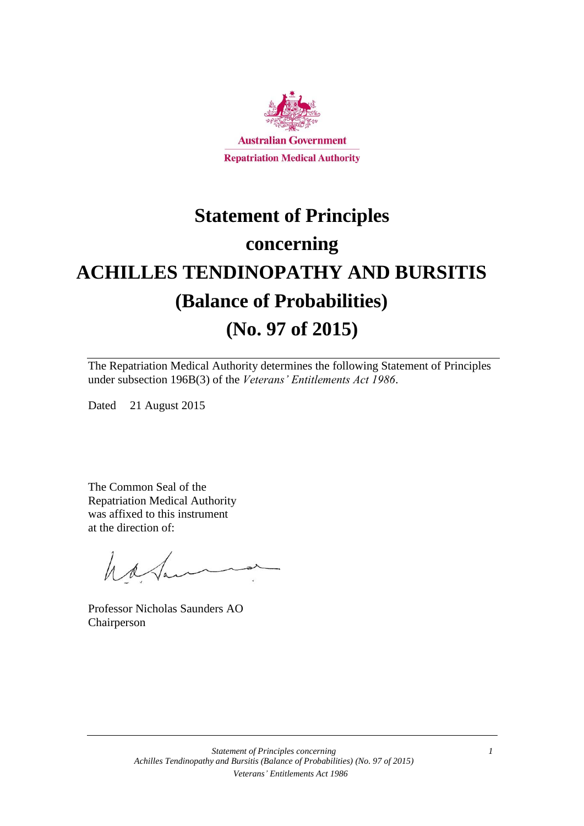

# **Statement of Principles concerning ACHILLES TENDINOPATHY AND BURSITIS (Balance of Probabilities) (No. 97 of 2015)**

The Repatriation Medical Authority determines the following Statement of Principles under subsection 196B(3) of the *Veterans' Entitlements Act 1986*.

Dated 21 August 2015

The Common Seal of the Repatriation Medical Authority was affixed to this instrument at the direction of:

have

Professor Nicholas Saunders AO Chairperson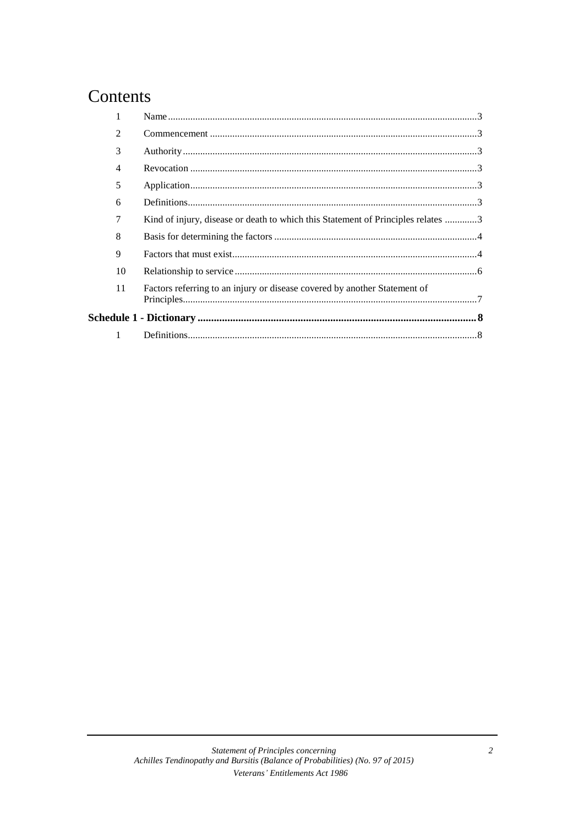### Contents

| $\mathfrak{D}$ |                                                                                  |  |
|----------------|----------------------------------------------------------------------------------|--|
| 3              |                                                                                  |  |
| 4              |                                                                                  |  |
| 5              |                                                                                  |  |
| 6              |                                                                                  |  |
| 7              | Kind of injury, disease or death to which this Statement of Principles relates 3 |  |
| 8              |                                                                                  |  |
| 9              |                                                                                  |  |
| 10             |                                                                                  |  |
| 11             | Factors referring to an injury or disease covered by another Statement of        |  |
|                |                                                                                  |  |
|                |                                                                                  |  |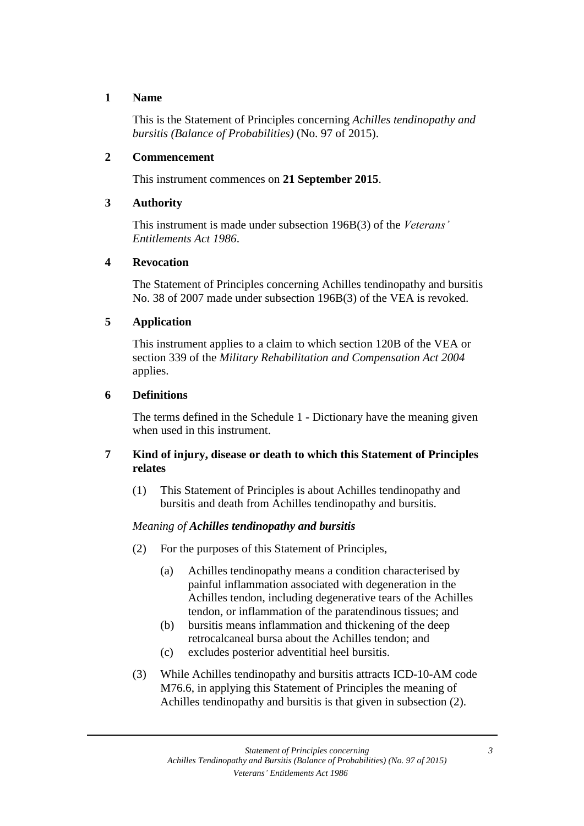#### **1 Name**

This is the Statement of Principles concerning *Achilles tendinopathy and bursitis (Balance of Probabilities)* (No. 97 of 2015).

#### **2 Commencement**

This instrument commences on **21 September 2015**.

#### **3 Authority**

This instrument is made under subsection 196B(3) of the *Veterans' Entitlements Act 1986*.

#### **4 Revocation**

The Statement of Principles concerning Achilles tendinopathy and bursitis No. 38 of 2007 made under subsection 196B(3) of the VEA is revoked.

#### **5 Application**

This instrument applies to a claim to which section 120B of the VEA or section 339 of the *Military Rehabilitation and Compensation Act 2004* applies.

#### **6 Definitions**

The terms defined in the Schedule 1 - Dictionary have the meaning given when used in this instrument.

#### **7 Kind of injury, disease or death to which this Statement of Principles relates**

(1) This Statement of Principles is about Achilles tendinopathy and bursitis and death from Achilles tendinopathy and bursitis.

#### *Meaning of Achilles tendinopathy and bursitis*

- (2) For the purposes of this Statement of Principles,
	- (a) Achilles tendinopathy means a condition characterised by painful inflammation associated with degeneration in the Achilles tendon, including degenerative tears of the Achilles tendon, or inflammation of the paratendinous tissues; and
	- (b) bursitis means inflammation and thickening of the deep retrocalcaneal bursa about the Achilles tendon; and
	- (c) excludes posterior adventitial heel bursitis.
- (3) While Achilles tendinopathy and bursitis attracts ICD-10-AM code M76.6, in applying this Statement of Principles the meaning of Achilles tendinopathy and bursitis is that given in subsection (2).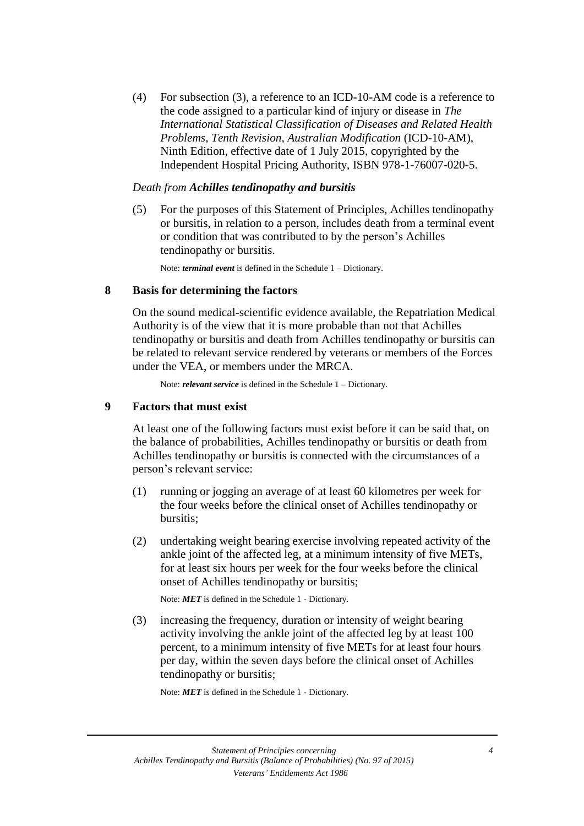(4) For subsection (3), a reference to an ICD-10-AM code is a reference to the code assigned to a particular kind of injury or disease in *The International Statistical Classification of Diseases and Related Health Problems*, *Tenth Revision, Australian Modification* (ICD-10-AM), Ninth Edition, effective date of 1 July 2015, copyrighted by the Independent Hospital Pricing Authority, ISBN 978-1-76007-020-5.

#### *Death from Achilles tendinopathy and bursitis*

(5) For the purposes of this Statement of Principles, Achilles tendinopathy or bursitis, in relation to a person, includes death from a terminal event or condition that was contributed to by the person's Achilles tendinopathy or bursitis.

Note: *terminal event* is defined in the Schedule 1 – Dictionary.

#### **8 Basis for determining the factors**

On the sound medical-scientific evidence available, the Repatriation Medical Authority is of the view that it is more probable than not that Achilles tendinopathy or bursitis and death from Achilles tendinopathy or bursitis can be related to relevant service rendered by veterans or members of the Forces under the VEA, or members under the MRCA.

Note: *relevant service* is defined in the Schedule 1 – Dictionary.

#### **9 Factors that must exist**

At least one of the following factors must exist before it can be said that, on the balance of probabilities, Achilles tendinopathy or bursitis or death from Achilles tendinopathy or bursitis is connected with the circumstances of a person's relevant service:

- (1) running or jogging an average of at least 60 kilometres per week for the four weeks before the clinical onset of Achilles tendinopathy or bursitis;
- (2) undertaking weight bearing exercise involving repeated activity of the ankle joint of the affected leg, at a minimum intensity of five METs, for at least six hours per week for the four weeks before the clinical onset of Achilles tendinopathy or bursitis;

Note: *MET* is defined in the Schedule 1 - Dictionary.

(3) increasing the frequency, duration or intensity of weight bearing activity involving the ankle joint of the affected leg by at least 100 percent, to a minimum intensity of five METs for at least four hours per day, within the seven days before the clinical onset of Achilles tendinopathy or bursitis;

Note: *MET* is defined in the Schedule 1 - Dictionary.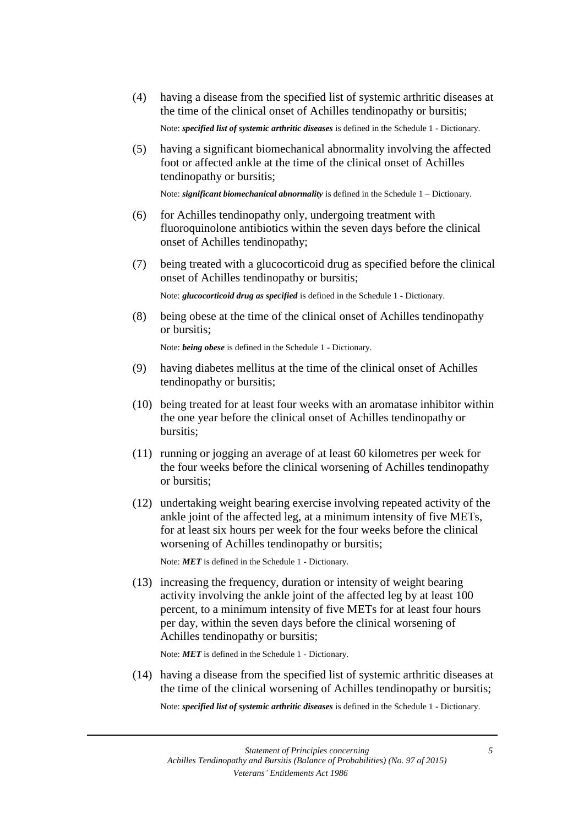(4) having a disease from the specified list of systemic arthritic diseases at the time of the clinical onset of Achilles tendinopathy or bursitis;

Note: *specified list of systemic arthritic diseases* is defined in the Schedule 1 - Dictionary.

(5) having a significant biomechanical abnormality involving the affected foot or affected ankle at the time of the clinical onset of Achilles tendinopathy or bursitis;

Note: *significant biomechanical abnormality* is defined in the Schedule 1 – Dictionary.

- (6) for Achilles tendinopathy only, undergoing treatment with fluoroquinolone antibiotics within the seven days before the clinical onset of Achilles tendinopathy;
- (7) being treated with a glucocorticoid drug as specified before the clinical onset of Achilles tendinopathy or bursitis;

Note: *glucocorticoid drug as specified* is defined in the Schedule 1 - Dictionary.

(8) being obese at the time of the clinical onset of Achilles tendinopathy or bursitis;

Note: *being obese* is defined in the Schedule 1 - Dictionary.

- (9) having diabetes mellitus at the time of the clinical onset of Achilles tendinopathy or bursitis;
- (10) being treated for at least four weeks with an aromatase inhibitor within the one year before the clinical onset of Achilles tendinopathy or bursitis;
- (11) running or jogging an average of at least 60 kilometres per week for the four weeks before the clinical worsening of Achilles tendinopathy or bursitis;
- (12) undertaking weight bearing exercise involving repeated activity of the ankle joint of the affected leg, at a minimum intensity of five METs, for at least six hours per week for the four weeks before the clinical worsening of Achilles tendinopathy or bursitis;

Note: *MET* is defined in the Schedule 1 - Dictionary.

(13) increasing the frequency, duration or intensity of weight bearing activity involving the ankle joint of the affected leg by at least 100 percent, to a minimum intensity of five METs for at least four hours per day, within the seven days before the clinical worsening of Achilles tendinopathy or bursitis;

Note: *MET* is defined in the Schedule 1 - Dictionary.

(14) having a disease from the specified list of systemic arthritic diseases at the time of the clinical worsening of Achilles tendinopathy or bursitis;

Note: *specified list of systemic arthritic diseases* is defined in the Schedule 1 - Dictionary.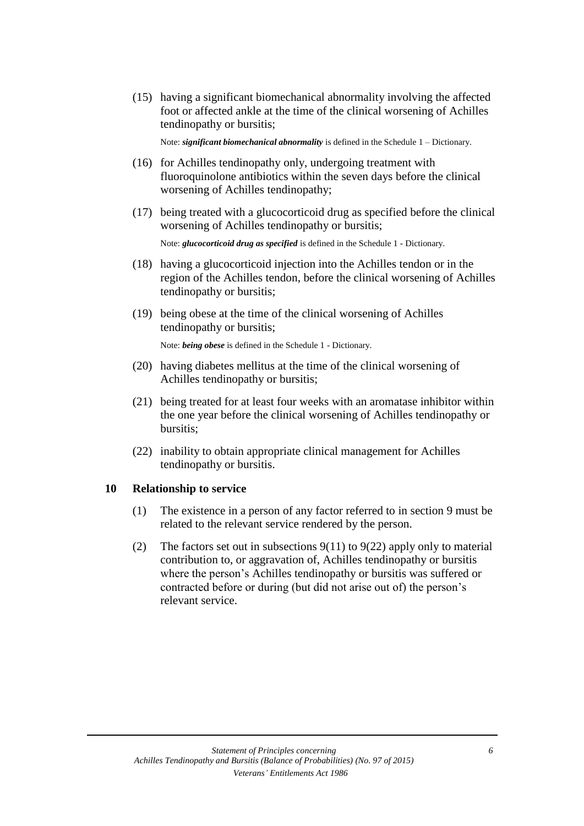(15) having a significant biomechanical abnormality involving the affected foot or affected ankle at the time of the clinical worsening of Achilles tendinopathy or bursitis;

Note: *significant biomechanical abnormality* is defined in the Schedule 1 – Dictionary.

- (16) for Achilles tendinopathy only, undergoing treatment with fluoroquinolone antibiotics within the seven days before the clinical worsening of Achilles tendinopathy;
- (17) being treated with a glucocorticoid drug as specified before the clinical worsening of Achilles tendinopathy or bursitis;

Note: *glucocorticoid drug as specified* is defined in the Schedule 1 - Dictionary.

- (18) having a glucocorticoid injection into the Achilles tendon or in the region of the Achilles tendon, before the clinical worsening of Achilles tendinopathy or bursitis;
- (19) being obese at the time of the clinical worsening of Achilles tendinopathy or bursitis;

Note: *being obese* is defined in the Schedule 1 - Dictionary.

- (20) having diabetes mellitus at the time of the clinical worsening of Achilles tendinopathy or bursitis;
- (21) being treated for at least four weeks with an aromatase inhibitor within the one year before the clinical worsening of Achilles tendinopathy or bursitis;
- (22) inability to obtain appropriate clinical management for Achilles tendinopathy or bursitis.

#### **10 Relationship to service**

- (1) The existence in a person of any factor referred to in section 9 must be related to the relevant service rendered by the person.
- (2) The factors set out in subsections  $9(11)$  to  $9(22)$  apply only to material contribution to, or aggravation of, Achilles tendinopathy or bursitis where the person's Achilles tendinopathy or bursitis was suffered or contracted before or during (but did not arise out of) the person's relevant service.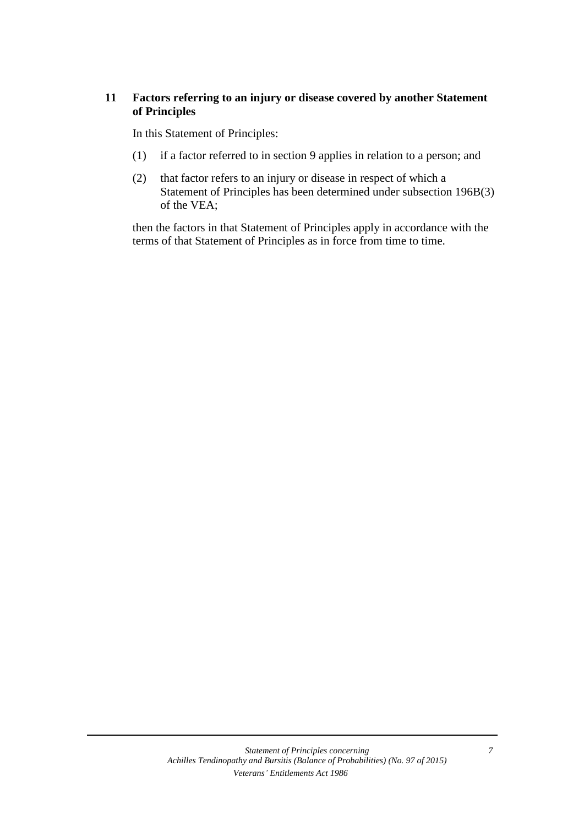#### **11 Factors referring to an injury or disease covered by another Statement of Principles**

In this Statement of Principles:

- (1) if a factor referred to in section 9 applies in relation to a person; and
- (2) that factor refers to an injury or disease in respect of which a Statement of Principles has been determined under subsection 196B(3) of the VEA;

then the factors in that Statement of Principles apply in accordance with the terms of that Statement of Principles as in force from time to time.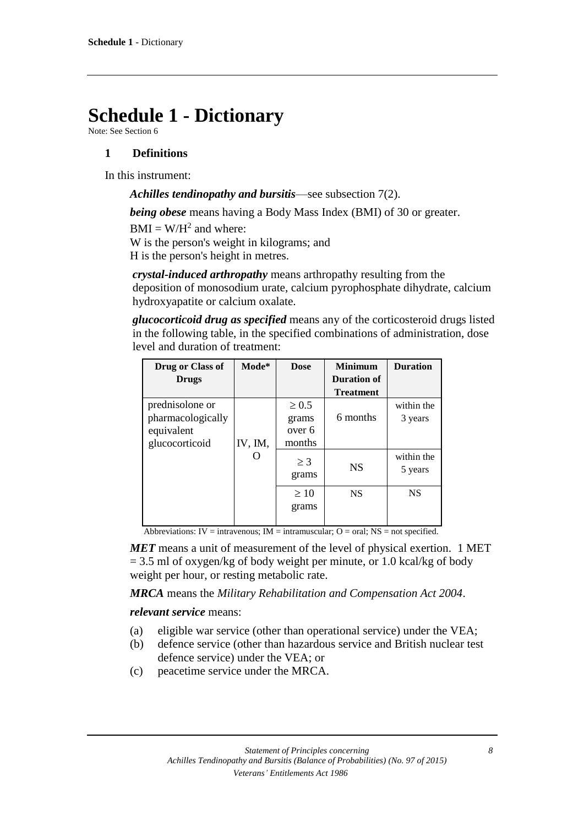## **Schedule 1 - Dictionary**

Note: See Section 6

#### **1 Definitions**

In this instrument:

*Achilles tendinopathy and bursitis*—see subsection 7(2).

*being obese* means having a Body Mass Index (BMI) of 30 or greater.

 $BMI = W/H<sup>2</sup>$  and where:

W is the person's weight in kilograms; and H is the person's height in metres.

*crystal-induced arthropathy* means arthropathy resulting from the deposition of monosodium urate, calcium pyrophosphate dihydrate, calcium hydroxyapatite or calcium oxalate.

*glucocorticoid drug as specified* means any of the corticosteroid drugs listed in the following table, in the specified combinations of administration, dose level and duration of treatment:

| Drug or Class of  | Mode*   | <b>Dose</b> | <b>Minimum</b>   | <b>Duration</b> |
|-------------------|---------|-------------|------------------|-----------------|
| <b>Drugs</b>      |         |             | Duration of      |                 |
|                   |         |             | <b>Treatment</b> |                 |
| prednisolone or   |         | $\geq 0.5$  |                  | within the      |
| pharmacologically |         | grams       | 6 months         | 3 years         |
| equivalent        |         | over 6      |                  |                 |
| glucocorticoid    | IV, IM, | months      |                  |                 |
|                   |         | $\geq$ 3    |                  | within the      |
|                   |         | grams       | <b>NS</b>        | 5 years         |
|                   |         |             |                  |                 |
|                   |         | $\geq 10$   | <b>NS</b>        | <b>NS</b>       |
|                   |         | grams       |                  |                 |
|                   |         |             |                  |                 |

Abbreviations: IV = intravenous; IM = intramuscular;  $O = \text{oral}$ ; NS = not specified.

*MET* means a unit of measurement of the level of physical exertion. 1 MET  $= 3.5$  ml of oxygen/kg of body weight per minute, or 1.0 kcal/kg of body weight per hour, or resting metabolic rate.

*MRCA* means the *Military Rehabilitation and Compensation Act 2004*.

*relevant service* means:

- (a) eligible war service (other than operational service) under the VEA;
- (b) defence service (other than hazardous service and British nuclear test defence service) under the VEA; or
- (c) peacetime service under the MRCA.